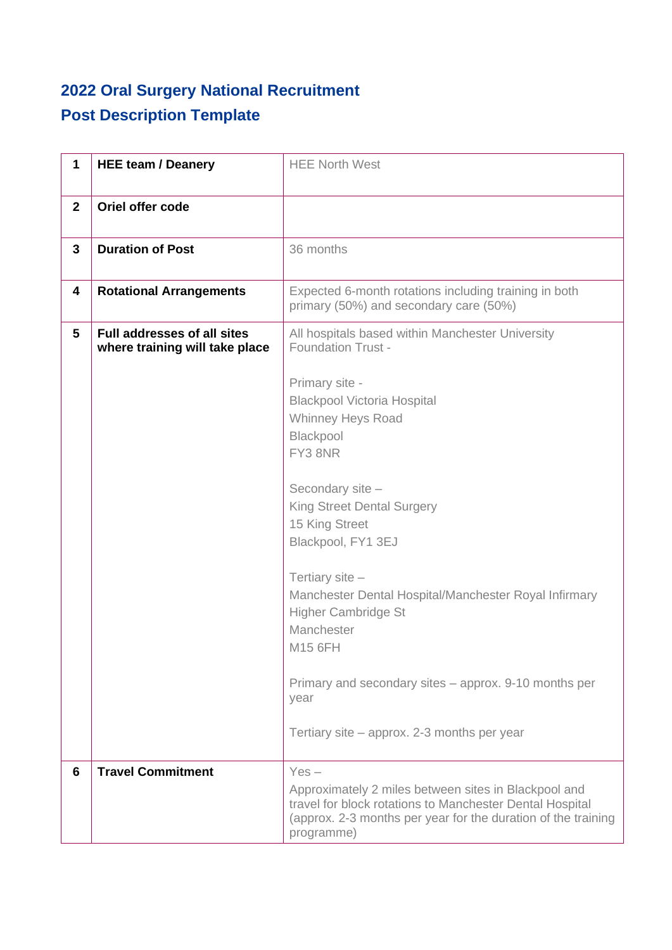## **2022 Oral Surgery National Recruitment Post Description Template**

| 1              | <b>HEE team / Deanery</b>                                            | <b>HEE North West</b>                                                                                                                                                                           |
|----------------|----------------------------------------------------------------------|-------------------------------------------------------------------------------------------------------------------------------------------------------------------------------------------------|
| $\overline{2}$ | Oriel offer code                                                     |                                                                                                                                                                                                 |
| 3              | <b>Duration of Post</b>                                              | 36 months                                                                                                                                                                                       |
| 4              | <b>Rotational Arrangements</b>                                       | Expected 6-month rotations including training in both<br>primary (50%) and secondary care (50%)                                                                                                 |
| 5              | <b>Full addresses of all sites</b><br>where training will take place | All hospitals based within Manchester University<br><b>Foundation Trust -</b>                                                                                                                   |
|                |                                                                      | Primary site -<br><b>Blackpool Victoria Hospital</b>                                                                                                                                            |
|                |                                                                      | <b>Whinney Heys Road</b>                                                                                                                                                                        |
|                |                                                                      | Blackpool                                                                                                                                                                                       |
|                |                                                                      | FY3 8NR                                                                                                                                                                                         |
|                |                                                                      |                                                                                                                                                                                                 |
|                |                                                                      | Secondary site -<br><b>King Street Dental Surgery</b>                                                                                                                                           |
|                |                                                                      | 15 King Street                                                                                                                                                                                  |
|                |                                                                      | Blackpool, FY1 3EJ                                                                                                                                                                              |
|                |                                                                      | Tertiary site -                                                                                                                                                                                 |
|                |                                                                      | Manchester Dental Hospital/Manchester Royal Infirmary                                                                                                                                           |
|                |                                                                      | <b>Higher Cambridge St</b>                                                                                                                                                                      |
|                |                                                                      | Manchester                                                                                                                                                                                      |
|                |                                                                      | M15 6FH                                                                                                                                                                                         |
|                |                                                                      | Primary and secondary sites – approx. 9-10 months per<br>year                                                                                                                                   |
|                |                                                                      | Tertiary site – approx. 2-3 months per year                                                                                                                                                     |
| 6              | <b>Travel Commitment</b>                                             | $Yes -$                                                                                                                                                                                         |
|                |                                                                      | Approximately 2 miles between sites in Blackpool and<br>travel for block rotations to Manchester Dental Hospital<br>(approx. 2-3 months per year for the duration of the training<br>programme) |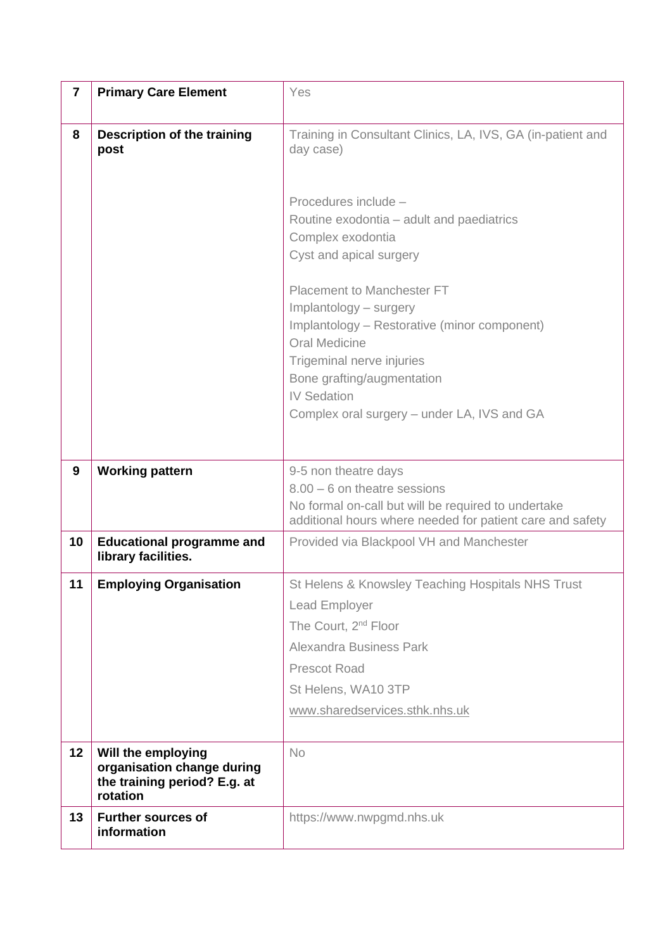| $\overline{\mathbf{7}}$ | <b>Primary Care Element</b>                                                                  | Yes                                                                                                                                                                                                                                                                                                                                |
|-------------------------|----------------------------------------------------------------------------------------------|------------------------------------------------------------------------------------------------------------------------------------------------------------------------------------------------------------------------------------------------------------------------------------------------------------------------------------|
| 8                       | <b>Description of the training</b><br>post                                                   | Training in Consultant Clinics, LA, IVS, GA (in-patient and<br>day case)                                                                                                                                                                                                                                                           |
|                         |                                                                                              | Procedures include -<br>Routine exodontia - adult and paediatrics<br>Complex exodontia<br>Cyst and apical surgery<br>Placement to Manchester FT<br>Implantology - surgery<br>Implantology - Restorative (minor component)<br><b>Oral Medicine</b><br>Trigeminal nerve injuries<br>Bone grafting/augmentation<br><b>IV Sedation</b> |
|                         |                                                                                              | Complex oral surgery – under LA, IVS and GA                                                                                                                                                                                                                                                                                        |
| 9                       | <b>Working pattern</b>                                                                       | 9-5 non theatre days<br>$8.00 - 6$ on theatre sessions<br>No formal on-call but will be required to undertake<br>additional hours where needed for patient care and safety                                                                                                                                                         |
| 10                      | <b>Educational programme and</b><br>library facilities.                                      | Provided via Blackpool VH and Manchester                                                                                                                                                                                                                                                                                           |
| 11                      | <b>Employing Organisation</b>                                                                | St Helens & Knowsley Teaching Hospitals NHS Trust<br>Lead Employer<br>The Court, 2 <sup>nd</sup> Floor<br><b>Alexandra Business Park</b><br>Prescot Road<br>St Helens, WA10 3TP<br>www.sharedservices.sthk.nhs.uk                                                                                                                  |
| 12                      | Will the employing<br>organisation change during<br>the training period? E.g. at<br>rotation | <b>No</b>                                                                                                                                                                                                                                                                                                                          |
| 13                      | <b>Further sources of</b><br>information                                                     | https://www.nwpgmd.nhs.uk                                                                                                                                                                                                                                                                                                          |